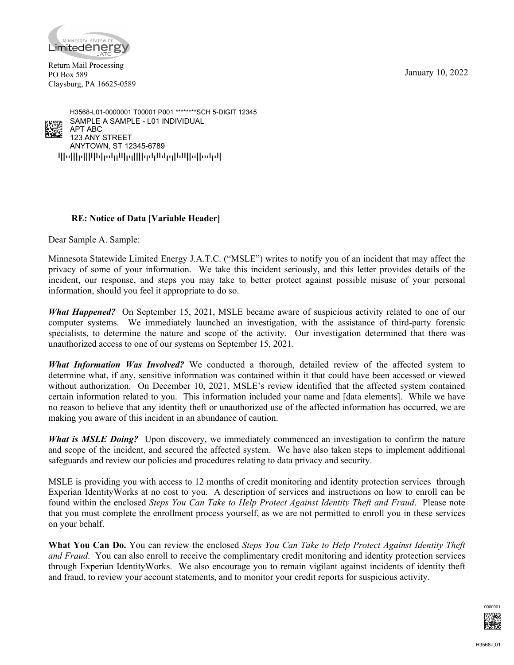January 10, 2022



Return Mail Processing PO Box 589 Claysburg, PA 16625-0589



 $q$ pps $\eta$ pppp $\eta$  pp $\eta$ pppp $\eta$ ANYTOWN, ST 12345-6789 123 ANY STREET APT ABC SAMPLE A SAMPLE - L01 INDIVIDUAL H3568-L01-0000001 T00001 P001 \*\*\*\*\*\*\*\*SCH 5-DIGIT 12345

# **RE: Notice of Data [Variable Header]**

Dear Sample A. Sample:

Minnesota Statewide Limited Energy J.A.T.C. ("MSLE") writes to notify you of an incident that may affect the privacy of some of your information. We take this incident seriously, and this letter provides details of the incident, our response, and steps you may take to better protect against possible misuse of your personal information, should you feel it appropriate to do so.

*What Happened?* On September 15, 2021, MSLE became aware of suspicious activity related to one of our computer systems. We immediately launched an investigation, with the assistance of third-party forensic specialists, to determine the nature and scope of the activity. Our investigation determined that there was unauthorized access to one of our systems on September 15, 2021.

*What Information Was Involved?* We conducted a thorough, detailed review of the affected system to determine what, if any, sensitive information was contained within it that could have been accessed or viewed without authorization. On December 10, 2021, MSLE's review identified that the affected system contained certain information related to you. This information included your name and [data elements]. While we have no reason to believe that any identity theft or unauthorized use of the affected information has occurred, we are making you aware of this incident in an abundance of caution.

*What is MSLE Doing?* Upon discovery, we immediately commenced an investigation to confirm the nature and scope of the incident, and secured the affected system. We have also taken steps to implement additional safeguards and review our policies and procedures relating to data privacy and security.

MSLE is providing you with access to 12 months of credit monitoring and identity protection services through Experian IdentityWorks at no cost to you. A description of services and instructions on how to enroll can be found within the enclosed *Steps You Can Take to Help Protect Against Identity Theft and Fraud*. Please note that you must complete the enrollment process yourself, as we are not permitted to enroll you in these services on your behalf.

**What You Can Do.** You can review the enclosed *Steps You Can Take to Help Protect Against Identity Theft and Fraud*. You can also enroll to receive the complimentary credit monitoring and identity protection services through Experian IdentityWorks. We also encourage you to remain vigilant against incidents of identity theft and fraud, to review your account statements, and to monitor your credit reports for suspicious activity.

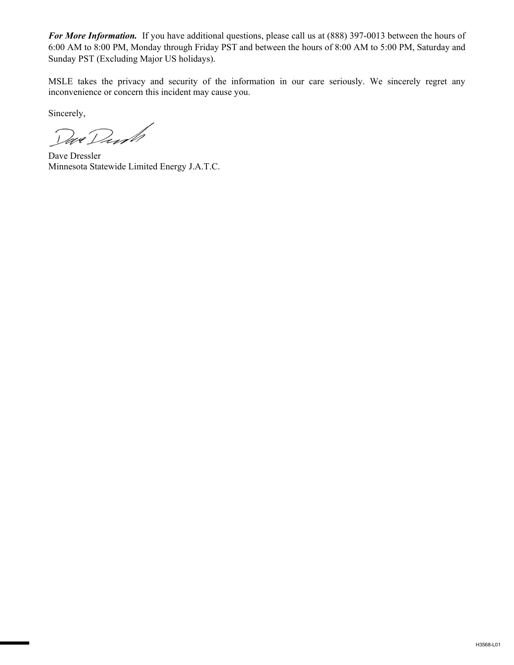*For More Information.* If you have additional questions, please call us at (888) 397-0013 between the hours of 6:00 AM to 8:00 PM, Monday through Friday PST and between the hours of 8:00 AM to 5:00 PM, Saturday and Sunday PST (Excluding Major US holidays).

MSLE takes the privacy and security of the information in our care seriously. We sincerely regret any inconvenience or concern this incident may cause you.

Sincerely,

Dwe Dunk

Dave Dressler Minnesota Statewide Limited Energy J.A.T.C.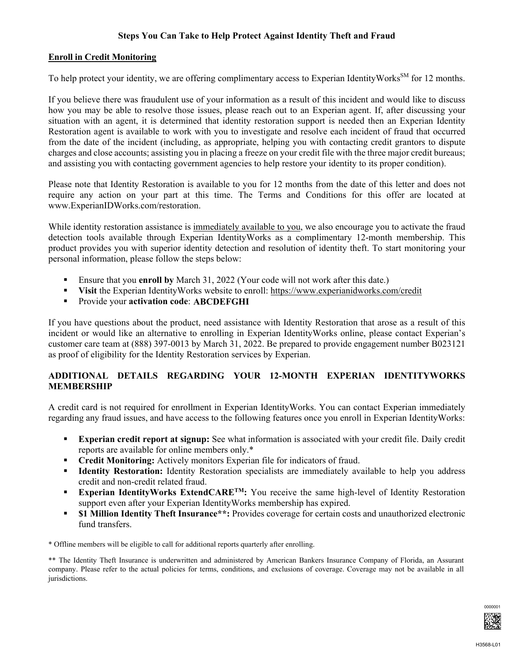# **Steps You Can Take to Help Protect Against Identity Theft and Fraud**

#### **Enroll in Credit Monitoring**

To help protect your identity, we are offering complimentary access to Experian IdentityWorks<sup>SM</sup> for 12 months.

If you believe there was fraudulent use of your information as a result of this incident and would like to discuss how you may be able to resolve those issues, please reach out to an Experian agent. If, after discussing your situation with an agent, it is determined that identity restoration support is needed then an Experian Identity Restoration agent is available to work with you to investigate and resolve each incident of fraud that occurred from the date of the incident (including, as appropriate, helping you with contacting credit grantors to dispute charges and close accounts; assisting you in placing a freeze on your credit file with the three major credit bureaus; and assisting you with contacting government agencies to help restore your identity to its proper condition).

Please note that Identity Restoration is available to you for 12 months from the date of this letter and does not require any action on your part at this time. The Terms and Conditions for this offer are located at www.ExperianIDWorks.com/restoration.

While identity restoration assistance is immediately available to you, we also encourage you to activate the fraud detection tools available through Experian IdentityWorks as a complimentary 12-month membership. This product provides you with superior identity detection and resolution of identity theft. To start monitoring your personal information, please follow the steps below:

- Ensure that you **enroll by** March 31, 2022 (Your code will not work after this date.)
- **Visit** the Experian IdentityWorks website to enroll: https://www.experianidworks.com/credit
- **-** Provide your activation code: ABCDEFGHI

If you have questions about the product, need assistance with Identity Restoration that arose as a result of this incident or would like an alternative to enrolling in Experian IdentityWorks online, please contact Experian's customer care team at (888) 397-0013 by March 31, 2022. Be prepared to provide engagement number B023121 as proof of eligibility for the Identity Restoration services by Experian.

## **ADDITIONAL DETAILS REGARDING YOUR 12-MONTH EXPERIAN IDENTITYWORKS MEMBERSHIP**

A credit card is not required for enrollment in Experian IdentityWorks. You can contact Experian immediately regarding any fraud issues, and have access to the following features once you enroll in Experian IdentityWorks:

- **Experian credit report at signup:** See what information is associated with your credit file. Daily credit reports are available for online members only.\*
- **Credit Monitoring:** Actively monitors Experian file for indicators of fraud.
- **Identity Restoration:** Identity Restoration specialists are immediately available to help you address credit and non-credit related fraud.
- **Experian IdentityWorks ExtendCARE<sup>TM</sup>:** You receive the same high-level of Identity Restoration support even after your Experian IdentityWorks membership has expired.
- **\*** \$1 Million Identity Theft Insurance\*\*: Provides coverage for certain costs and unauthorized electronic fund transfers.

\* Offline members will be eligible to call for additional reports quarterly after enrolling.

\*\* The Identity Theft Insurance is underwritten and administered by American Bankers Insurance Company of Florida, an Assurant company. Please refer to the actual policies for terms, conditions, and exclusions of coverage. Coverage may not be available in all jurisdictions.

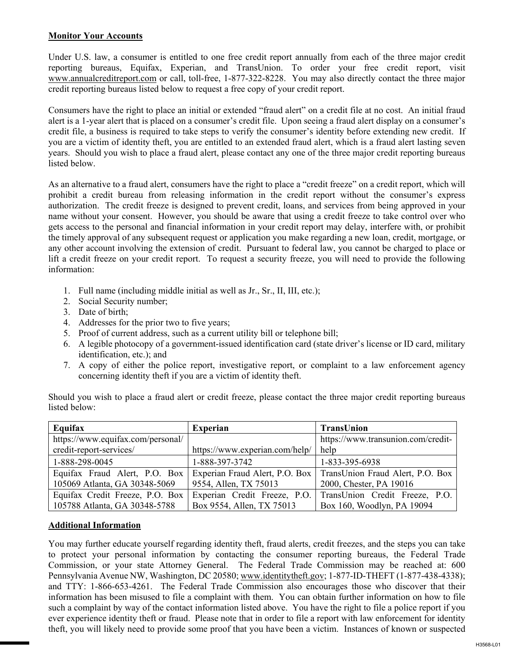### **Monitor Your Accounts**

Under U.S. law, a consumer is entitled to one free credit report annually from each of the three major credit reporting bureaus, Equifax, Experian, and TransUnion. To order your free credit report, visit www.annualcreditreport.com or call, toll-free, 1-877-322-8228. You may also directly contact the three major credit reporting bureaus listed below to request a free copy of your credit report.

Consumers have the right to place an initial or extended "fraud alert" on a credit file at no cost. An initial fraud alert is a 1-year alert that is placed on a consumer's credit file. Upon seeing a fraud alert display on a consumer's credit file, a business is required to take steps to verify the consumer's identity before extending new credit. If you are a victim of identity theft, you are entitled to an extended fraud alert, which is a fraud alert lasting seven years. Should you wish to place a fraud alert, please contact any one of the three major credit reporting bureaus listed below.

As an alternative to a fraud alert, consumers have the right to place a "credit freeze" on a credit report, which will prohibit a credit bureau from releasing information in the credit report without the consumer's express authorization. The credit freeze is designed to prevent credit, loans, and services from being approved in your name without your consent. However, you should be aware that using a credit freeze to take control over who gets access to the personal and financial information in your credit report may delay, interfere with, or prohibit the timely approval of any subsequent request or application you make regarding a new loan, credit, mortgage, or any other account involving the extension of credit. Pursuant to federal law, you cannot be charged to place or lift a credit freeze on your credit report. To request a security freeze, you will need to provide the following information:

- 1. Full name (including middle initial as well as Jr., Sr., II, III, etc.);
- 2. Social Security number;
- 3. Date of birth;
- 4. Addresses for the prior two to five years;
- 5. Proof of current address, such as a current utility bill or telephone bill;
- 6. A legible photocopy of a government-issued identification card (state driver's license or ID card, military identification, etc.); and
- 7. A copy of either the police report, investigative report, or complaint to a law enforcement agency concerning identity theft if you are a victim of identity theft.

| Equifax                                                        | <b>Experian</b>                | TransUnion                                                                                   |
|----------------------------------------------------------------|--------------------------------|----------------------------------------------------------------------------------------------|
| https://www.equifax.com/personal/                              |                                | https://www.transunion.com/credit-                                                           |
| credit-report-services/                                        | https://www.experian.com/help/ | help                                                                                         |
| 1-888-298-0045                                                 | 1-888-397-3742                 | 1-833-395-6938                                                                               |
| Equifax Fraud Alert, P.O. Box<br>105069 Atlanta, GA 30348-5069 | 9554, Allen, TX 75013          | Experian Fraud Alert, P.O. Box   TransUnion Fraud Alert, P.O. Box<br>2000, Chester, PA 19016 |
| Equifax Credit Freeze, P.O. Box                                |                                | Experian Credit Freeze, P.O.   TransUnion Credit Freeze, P.O.                                |
| 105788 Atlanta, GA 30348-5788                                  | Box 9554, Allen, TX 75013      | Box 160, Woodlyn, PA 19094                                                                   |

Should you wish to place a fraud alert or credit freeze, please contact the three major credit reporting bureaus listed below:

### **Additional Information**

You may further educate yourself regarding identity theft, fraud alerts, credit freezes, and the steps you can take to protect your personal information by contacting the consumer reporting bureaus, the Federal Trade Commission, or your state Attorney General.The Federal Trade Commission may be reached at: 600 Pennsylvania Avenue NW, Washington, DC 20580; www.identitytheft.gov; 1-877-ID-THEFT (1-877-438-4338); and TTY: 1-866-653-4261. The Federal Trade Commission also encourages those who discover that their information has been misused to file a complaint with them. You can obtain further information on how to file such a complaint by way of the contact information listed above. You have the right to file a police report if you ever experience identity theft or fraud. Please note that in order to file a report with law enforcement for identity theft, you will likely need to provide some proof that you have been a victim. Instances of known or suspected